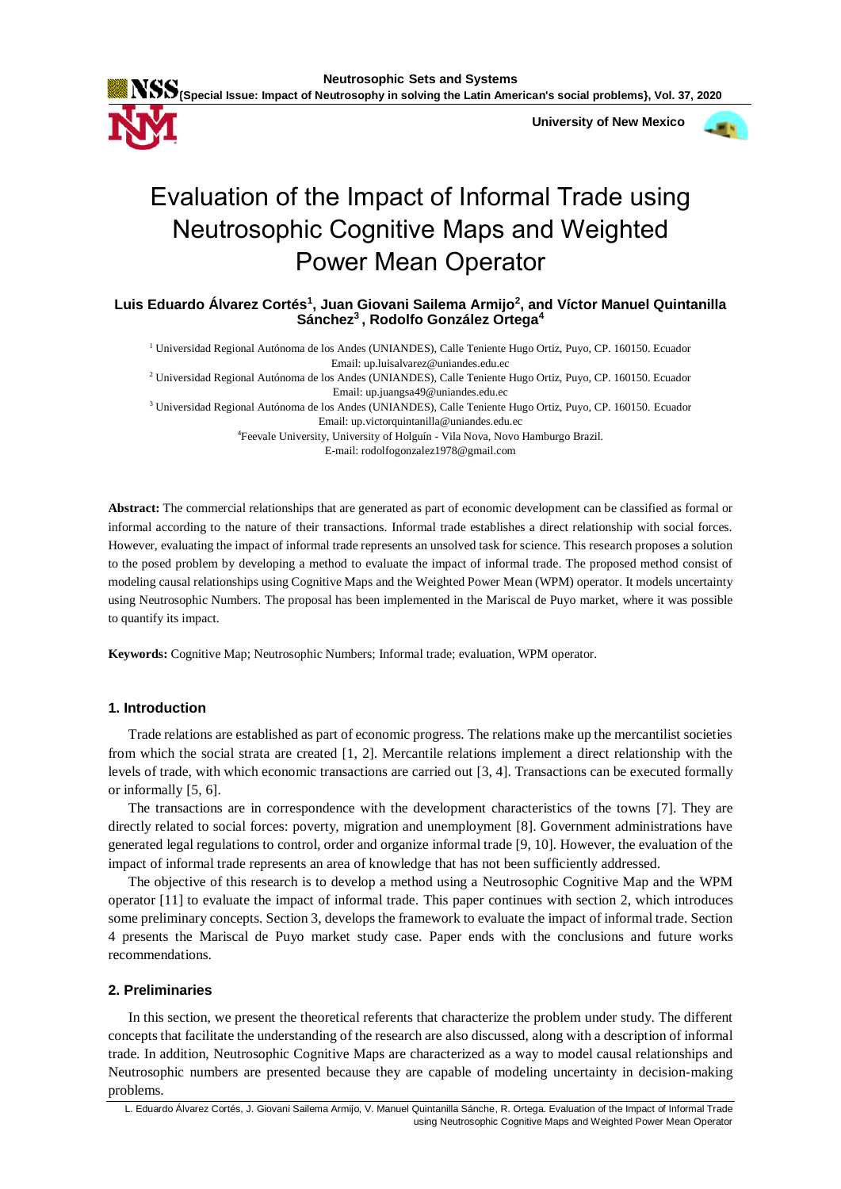

**{Special Issue: Impact of Neutrosophy in solving the Latin American's social problems}, Vol. 37, 2020**

 **University of New Mexico**



# Evaluation of the Impact of Informal Trade using Neutrosophic Cognitive Maps and Weighted Power Mean Operator

# **Luis Eduardo Álvarez Cortés<sup>1</sup> , Juan Giovani Sailema Armijo<sup>2</sup> , and Víctor Manuel Quintanilla Sánchez<sup>3</sup> , Rodolfo González Ortega<sup>4</sup>**

<sup>1</sup> Universidad Regional Autónoma de los Andes (UNIANDES), Calle Teniente Hugo Ortiz, Puyo, CP. 160150. Ecuador Email: up.luisalvarez@uniandes.edu.ec

<sup>2</sup> Universidad Regional Autónoma de los Andes (UNIANDES), Calle Teniente Hugo Ortiz, Puyo, CP. 160150. Ecuador Email: up.juangsa49@uniandes.edu.ec

<sup>3</sup> Universidad Regional Autónoma de los Andes (UNIANDES), Calle Teniente Hugo Ortiz, Puyo, CP. 160150. Ecuador Email: up.victorquintanilla@uniandes.edu.ec

<sup>4</sup>Feevale University, University of Holguín - Vila Nova, Novo Hamburgo Brazil.

E-mail: rodolfogonzalez1978@gmail.com

**Abstract:** The commercial relationships that are generated as part of economic development can be classified as formal or informal according to the nature of their transactions. Informal trade establishes a direct relationship with social forces. However, evaluating the impact of informal trade represents an unsolved task for science. This research proposes a solution to the posed problem by developing a method to evaluate the impact of informal trade. The proposed method consist of modeling causal relationships using Cognitive Maps and the Weighted Power Mean (WPM) operator. It models uncertainty using Neutrosophic Numbers. The proposal has been implemented in the Mariscal de Puyo market, where it was possible to quantify its impact.

**Keywords:** Cognitive Map; Neutrosophic Numbers; Informal trade; evaluation, WPM operator.

# **1. Introduction**

Trade relations are established as part of economic progress. The relations make up the mercantilist societies from which the social strata are created [\[1,](#page-4-0) [2\]](#page-4-1). Mercantile relations implement a direct relationship with the levels of trade, with which economic transactions are carried out [\[3,](#page-4-2) [4\]](#page-4-3). Transactions can be executed formally or informally [\[5,](#page-4-4) [6\]](#page-4-5).

The transactions are in correspondence with the development characteristics of the towns [\[7\]](#page-5-0). They are directly related to social forces: poverty, migration and unemployment [\[8\]](#page-5-1). Government administrations have generated legal regulations to control, order and organize informal trade [\[9,](#page-5-2) [10\]](#page-5-3). However, the evaluation of the impact of informal trade represents an area of knowledge that has not been sufficiently addressed.

The objective of this research is to develop a method using a Neutrosophic Cognitive Map and the WPM operator [\[11\]](#page-5-4) to evaluate the impact of informal trade. This paper continues with section 2, which introduces some preliminary concepts. Section 3, develops the framework to evaluate the impact of informal trade. Section 4 presents the Mariscal de Puyo market study case. Paper ends with the conclusions and future works recommendations.

# **2. Preliminaries**

In this section, we present the theoretical referents that characterize the problem under study. The different concepts that facilitate the understanding of the research are also discussed, along with a description of informal trade. In addition, Neutrosophic Cognitive Maps are characterized as a way to model causal relationships and Neutrosophic numbers are presented because they are capable of modeling uncertainty in decision-making problems.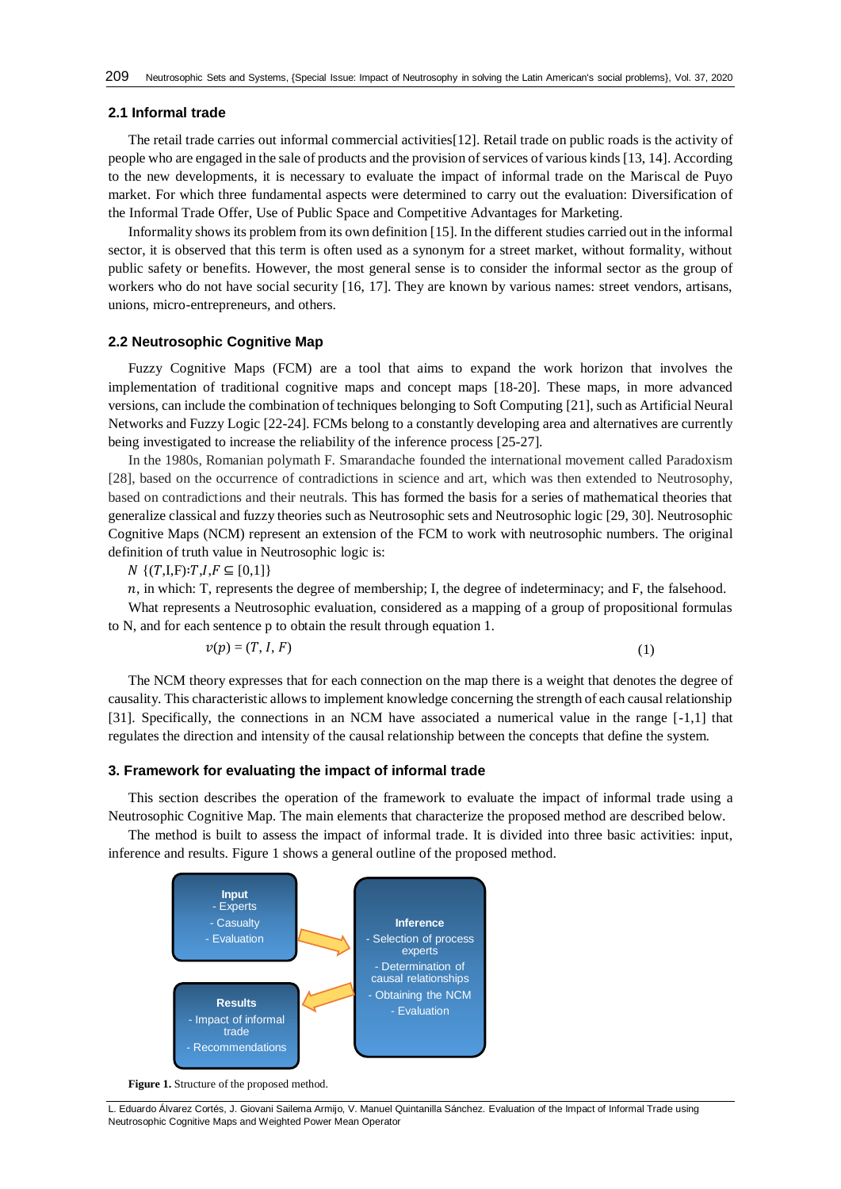## **2.1 Informal trade**

The retail trade carries out informal commercial activities[\[12\]](#page-5-5). Retail trade on public roads is the activity of people who are engaged in the sale of products and the provision of services of various kinds [\[13,](#page-5-6) [14\]](#page-5-7). According to the new developments, it is necessary to evaluate the impact of informal trade on the Mariscal de Puyo market. For which three fundamental aspects were determined to carry out the evaluation: Diversification of the Informal Trade Offer, Use of Public Space and Competitive Advantages for Marketing.

Informality shows its problem from its own definition [\[15\]](#page-5-8). In the different studies carried out in the informal sector, it is observed that this term is often used as a synonym for a street market, without formality, without public safety or benefits. However, the most general sense is to consider the informal sector as the group of workers who do not have social security [\[16,](#page-5-9) [17\]](#page-5-10). They are known by various names: street vendors, artisans, unions, micro-entrepreneurs, and others.

# **2.2 Neutrosophic Cognitive Map**

Fuzzy Cognitive Maps (FCM) are a tool that aims to expand the work horizon that involves the implementation of traditional cognitive maps and concept maps [\[18-20\]](#page-5-11). These maps, in more advanced versions, can include the combination of techniques belonging to Soft Computing [\[21\]](#page-5-12), such as Artificial Neural Networks and Fuzzy Logic [\[22-24\]](#page-5-13). FCMs belong to a constantly developing area and alternatives are currently being investigated to increase the reliability of the inference process [\[25-27\]](#page-5-14).

In the 1980s, Romanian polymath F. Smarandache founded the international movement called Paradoxism [\[28\]](#page-6-0), based on the occurrence of contradictions in science and art, which was then extended to Neutrosophy, based on contradictions and their neutrals. This has formed the basis for a series of mathematical theories that generalize classical and fuzzy theories such as Neutrosophic sets and Neutrosophic logic [\[29,](#page-6-1) [30\]](#page-6-2). Neutrosophic Cognitive Maps (NCM) represent an extension of the FCM to work with neutrosophic numbers. The original definition of truth value in Neutrosophic logic is:

 $N \{(T,I,F): T,I,F \subseteq [0,1]\}$ 

 $n$ , in which: T, represents the degree of membership; I, the degree of indeterminacy; and F, the falsehood.

What represents a Neutrosophic evaluation, considered as a mapping of a group of propositional formulas to N, and for each sentence p to obtain the result through equation 1.

$$
v(p) = (T, I, F) \tag{1}
$$

The NCM theory expresses that for each connection on the map there is a weight that denotes the degree of causality. This characteristic allows to implement knowledge concerning the strength of each causal relationship [\[31\]](#page-6-3). Specifically, the connections in an NCM have associated a numerical value in the range [-1,1] that regulates the direction and intensity of the causal relationship between the concepts that define the system.

## **3. Framework for evaluating the impact of informal trade**

This section describes the operation of the framework to evaluate the impact of informal trade using a Neutrosophic Cognitive Map. The main elements that characterize the proposed method are described below.

The method is built to assess the impact of informal trade. It is divided into three basic activities: input, inference and results. Figure 1 shows a general outline of the proposed method.



**Figure 1.** Structure of the proposed method.

L. Eduardo Álvarez Cortés, J. Giovani Sailema Armijo, V. Manuel Quintanilla Sánchez. Evaluation of the Impact of Informal Trade using Neutrosophic Cognitive Maps and Weighted Power Mean Operator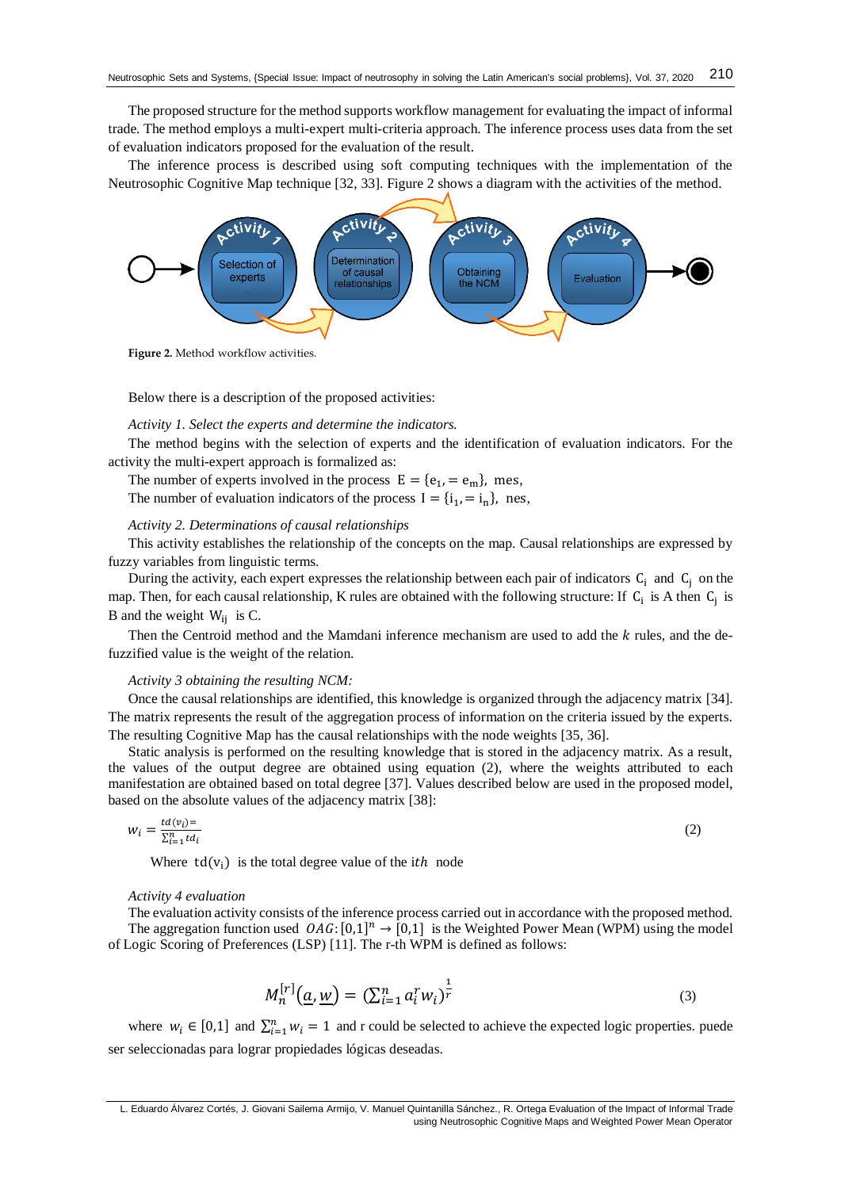The proposed structure for the method supports workflow management for evaluating the impact of informal trade. The method employs a multi-expert multi-criteria approach. The inference process uses data from the set of evaluation indicators proposed for the evaluation of the result.

The inference process is described using soft computing techniques with the implementation of the Neutrosophic Cognitive Map technique [\[32,](#page-6-4) [33\]](#page-6-5). Figure 2 shows a diagram with the activities of the method.



**Figure 2.** Method workflow activities.

Below there is a description of the proposed activities:

# *Activity 1. Select the experts and determine the indicators.*

The method begins with the selection of experts and the identification of evaluation indicators. For the activity the multi-expert approach is formalized as:

The number of experts involved in the process  $E = \{e_1, = e_m\}$ , mes,

The number of evaluation indicators of the process  $I = \{i_1, = i_n\}$ , nes,

# *Activity 2. Determinations of causal relationships*

This activity establishes the relationship of the concepts on the map. Causal relationships are expressed by fuzzy variables from linguistic terms.

During the activity, each expert expresses the relationship between each pair of indicators  $C_i$  and  $C_j$  on the map. Then, for each causal relationship, K rules are obtained with the following structure: If  $C_i$  is A then  $C_j$  is B and the weight  $W_{ii}$  is C.

Then the Centroid method and the Mamdani inference mechanism are used to add the  $k$  rules, and the defuzzified value is the weight of the relation.

#### *Activity 3 obtaining the resulting NCM:*

Once the causal relationships are identified, this knowledge is organized through the adjacency matrix [\[34\]](#page-6-6). The matrix represents the result of the aggregation process of information on the criteria issued by the experts. The resulting Cognitive Map has the causal relationships with the node weights [\[35,](#page-6-7) [36\]](#page-6-8).

Static analysis is performed on the resulting knowledge that is stored in the adjacency matrix. As a result, the values of the output degree are obtained using equation (2), where the weights attributed to each manifestation are obtained based on total degree [\[37\]](#page-6-9). Values described below are used in the proposed model, based on the absolute values of the adjacency matrix [\[38\]](#page-6-10):

$$
w_i = \frac{td(v_i)}{\Sigma_{i=1}^n td_i} \tag{2}
$$

Where  $td(v_i)$  is the total degree value of the ith node

## *Activity 4 evaluation*

The evaluation activity consists of the inference process carried out in accordance with the proposed method. The aggregation function used  $OAG$ :  $[0,1]^n \rightarrow [0,1]$  is the Weighted Power Mean (WPM) using the model of Logic Scoring of Preferences (LSP) [\[11\]](#page-5-4). The r-th WPM is defined as follows:

$$
M_n^{[r]}(\underline{a}, \underline{w}) = \left(\sum_{i=1}^n a_i^r w_i\right)^{\frac{1}{r}}
$$
\n(3)

where  $w_i \in [0,1]$  and  $\sum_{i=1}^n w_i = 1$  and r could be selected to achieve the expected logic properties. puede ser seleccionadas para lograr propiedades lógicas deseadas.

L. Eduardo Álvarez Cortés, J. Giovani Sailema Armijo, V. Manuel Quintanilla Sánchez., R. Ortega Evaluation of the Impact of Informal Trade using Neutrosophic Cognitive Maps and Weighted Power Mean Operator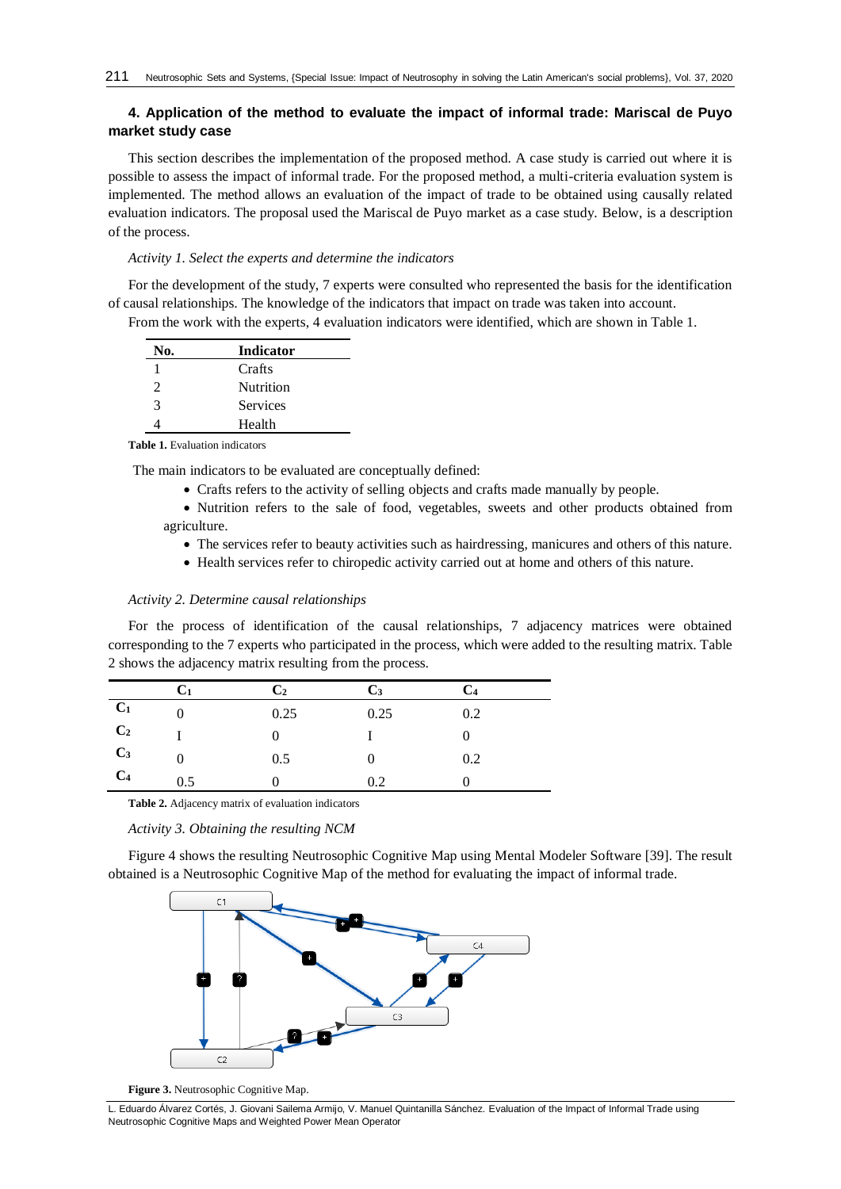# **4. Application of the method to evaluate the impact of informal trade: Mariscal de Puyo market study case**

This section describes the implementation of the proposed method. A case study is carried out where it is possible to assess the impact of informal trade. For the proposed method, a multi-criteria evaluation system is implemented. The method allows an evaluation of the impact of trade to be obtained using causally related evaluation indicators. The proposal used the Mariscal de Puyo market as a case study. Below, is a description of the process.

# *Activity 1. Select the experts and determine the indicators*

For the development of the study, 7 experts were consulted who represented the basis for the identification of causal relationships. The knowledge of the indicators that impact on trade was taken into account.

From the work with the experts, 4 evaluation indicators were identified, which are shown in Table 1.

| No.                   | <b>Indicator</b> |  |
|-----------------------|------------------|--|
|                       | Crafts           |  |
| $\mathcal{D}_{\cdot}$ | Nutrition        |  |
| 3                     | <b>Services</b>  |  |
|                       | Health           |  |

**Table 1.** Evaluation indicators

The main indicators to be evaluated are conceptually defined:

• Crafts refers to the activity of selling objects and crafts made manually by people.

• Nutrition refers to the sale of food, vegetables, sweets and other products obtained from agriculture.

- The services refer to beauty activities such as hairdressing, manicures and others of this nature.
- Health services refer to chiropedic activity carried out at home and others of this nature.

## *Activity 2. Determine causal relationships*

For the process of identification of the causal relationships, 7 adjacency matrices were obtained corresponding to the 7 experts who participated in the process, which were added to the resulting matrix. Table 2 shows the adjacency matrix resulting from the process.

|                | Cı  | $\mathbf{C}_2$ | $C_3$ | $\mathsf{L}_{4}$ |
|----------------|-----|----------------|-------|------------------|
| C <sub>1</sub> |     | 0.25           | 0.25  | 0.2              |
| C <sub>2</sub> |     |                |       |                  |
| C <sub>3</sub> |     | 0.5            |       | 0.2              |
| C <sub>4</sub> | 0.5 |                | 0.2   |                  |

**Table 2.** Adjacency matrix of evaluation indicators

## *Activity 3. Obtaining the resulting NCM*

Figure 4 shows the resulting Neutrosophic Cognitive Map using Mental Modeler Software [\[39\]](#page-6-11). The result obtained is a Neutrosophic Cognitive Map of the method for evaluating the impact of informal trade.





L. Eduardo Álvarez Cortés, J. Giovani Sailema Armijo, V. Manuel Quintanilla Sánchez. Evaluation of the Impact of Informal Trade using Neutrosophic Cognitive Maps and Weighted Power Mean Operator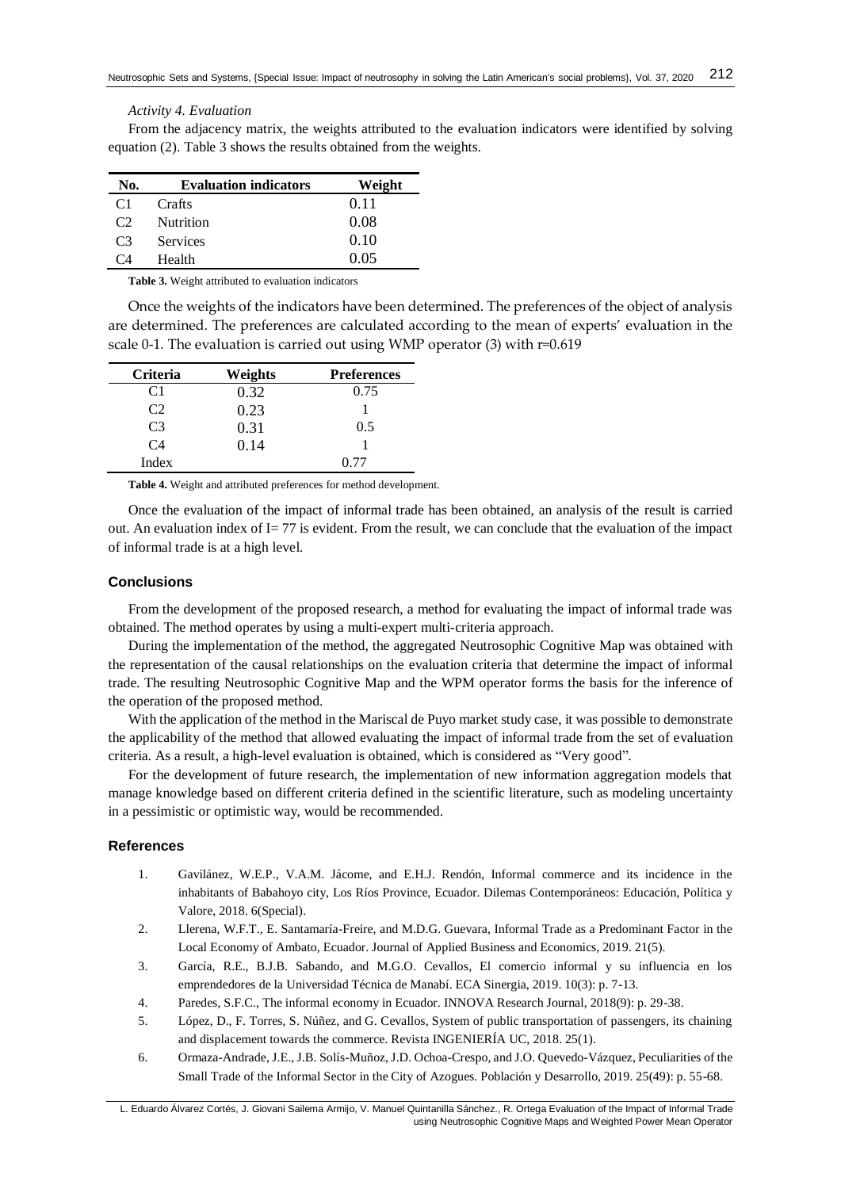## *Activity 4. Evaluation*

From the adjacency matrix, the weights attributed to the evaluation indicators were identified by solving equation (2). Table 3 shows the results obtained from the weights.

| No.            | <b>Evaluation indicators</b> | Weight |
|----------------|------------------------------|--------|
| C1             | Crafts                       | 0.11   |
| C2             | <b>Nutrition</b>             | 0.08   |
| C <sub>3</sub> | <b>Services</b>              | 0.10   |
| [ `∆           | Health                       | 0.05   |

**Table 3.** Weight attributed to evaluation indicators

Once the weights of the indicators have been determined. The preferences of the object of analysis are determined. The preferences are calculated according to the mean of experts' evaluation in the scale 0-1. The evaluation is carried out using WMP operator (3) with r=0.619

| Criteria       | Weights | <b>Preferences</b> |
|----------------|---------|--------------------|
| C1             | 0.32    | 0.75               |
| C2             | 0.23    |                    |
| C <sub>3</sub> | 0.31    | 0.5                |
| C <sub>4</sub> | 0.14    |                    |
| Index          |         | () 77              |

**Table 4.** Weight and attributed preferences for method development.

Once the evaluation of the impact of informal trade has been obtained, an analysis of the result is carried out. An evaluation index of  $I = 77$  is evident. From the result, we can conclude that the evaluation of the impact of informal trade is at a high level.

# **Conclusions**

From the development of the proposed research, a method for evaluating the impact of informal trade was obtained. The method operates by using a multi-expert multi-criteria approach.

During the implementation of the method, the aggregated Neutrosophic Cognitive Map was obtained with the representation of the causal relationships on the evaluation criteria that determine the impact of informal trade. The resulting Neutrosophic Cognitive Map and the WPM operator forms the basis for the inference of the operation of the proposed method.

With the application of the method in the Mariscal de Puyo market study case, it was possible to demonstrate the applicability of the method that allowed evaluating the impact of informal trade from the set of evaluation criteria. As a result, a high-level evaluation is obtained, which is considered as "Very good".

For the development of future research, the implementation of new information aggregation models that manage knowledge based on different criteria defined in the scientific literature, such as modeling uncertainty in a pessimistic or optimistic way, would be recommended.

# **References**

- <span id="page-4-0"></span>1. Gavilánez, W.E.P., V.A.M. Jácome, and E.H.J. Rendón, Informal commerce and its incidence in the inhabitants of Babahoyo city, Los Ríos Province, Ecuador. Dilemas Contemporáneos: Educación, Política y Valore, 2018. 6(Special).
- <span id="page-4-1"></span>2. Llerena, W.F.T., E. Santamaría-Freire, and M.D.G. Guevara, Informal Trade as a Predominant Factor in the Local Economy of Ambato, Ecuador. Journal of Applied Business and Economics, 2019. 21(5).
- <span id="page-4-2"></span>3. García, R.E., B.J.B. Sabando, and M.G.O. Cevallos, El comercio informal y su influencia en los emprendedores de la Universidad Técnica de Manabí. ECA Sinergia, 2019. 10(3): p. 7-13.
- <span id="page-4-3"></span>4. Paredes, S.F.C., The informal economy in Ecuador. INNOVA Research Journal, 2018(9): p. 29-38.
- <span id="page-4-4"></span>5. López, D., F. Torres, S. Núñez, and G. Cevallos, System of public transportation of passengers, its chaining and displacement towards the commerce. Revista INGENIERÍA UC, 2018. 25(1).
- <span id="page-4-5"></span>6. Ormaza-Andrade, J.E., J.B. Solís-Muñoz, J.D. Ochoa-Crespo, and J.O. Quevedo-Vázquez, Peculiarities of the Small Trade of the Informal Sector in the City of Azogues. Población y Desarrollo, 2019. 25(49): p. 55-68.

L. Eduardo Álvarez Cortés, J. Giovani Sailema Armijo, V. Manuel Quintanilla Sánchez., R. Ortega Evaluation of the Impact of Informal Trade using Neutrosophic Cognitive Maps and Weighted Power Mean Operator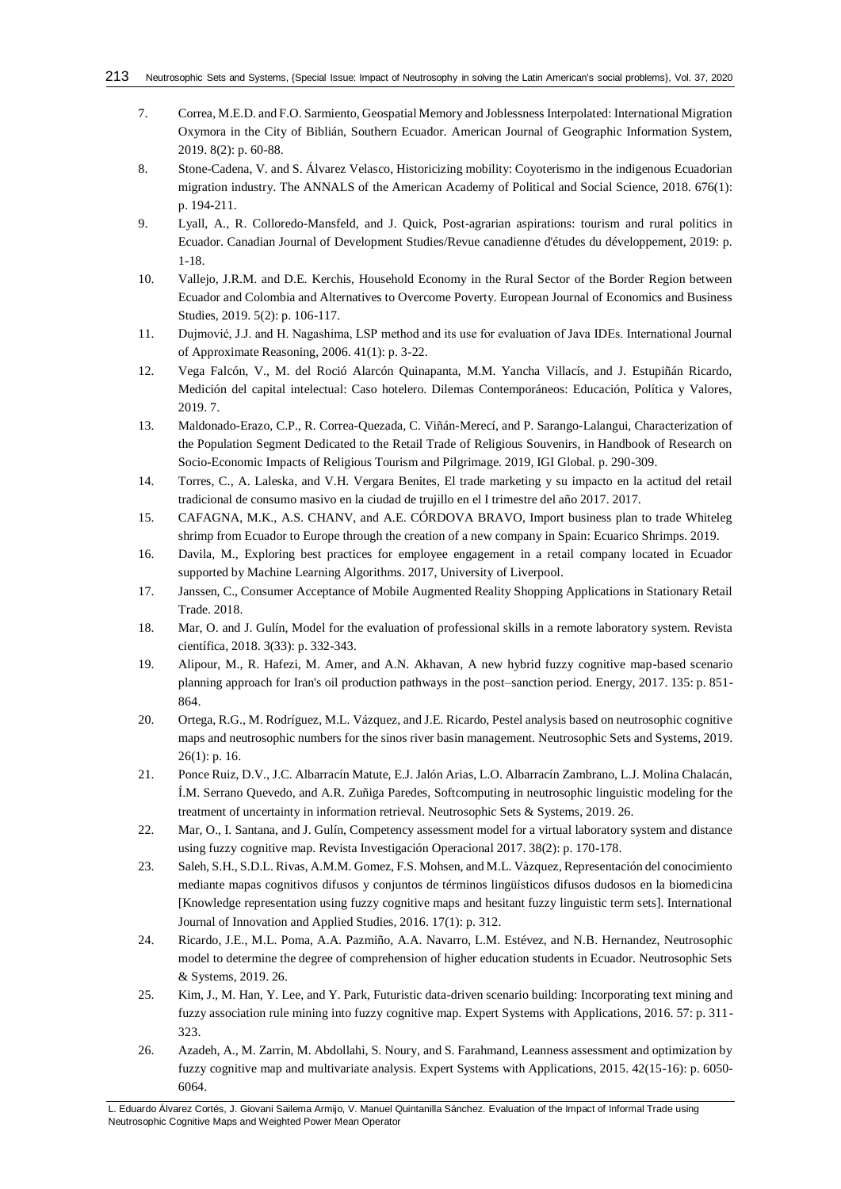- <span id="page-5-0"></span>7. Correa, M.E.D. and F.O. Sarmiento, Geospatial Memory and Joblessness Interpolated: International Migration Oxymora in the City of Biblián, Southern Ecuador. American Journal of Geographic Information System, 2019. 8(2): p. 60-88.
- <span id="page-5-1"></span>8. Stone-Cadena, V. and S. Álvarez Velasco, Historicizing mobility: Coyoterismo in the indigenous Ecuadorian migration industry. The ANNALS of the American Academy of Political and Social Science, 2018. 676(1): p. 194-211.
- <span id="page-5-2"></span>9. Lyall, A., R. Colloredo-Mansfeld, and J. Quick, Post-agrarian aspirations: tourism and rural politics in Ecuador. Canadian Journal of Development Studies/Revue canadienne d'études du développement, 2019: p. 1-18.
- <span id="page-5-3"></span>10. Vallejo, J.R.M. and D.E. Kerchis, Household Economy in the Rural Sector of the Border Region between Ecuador and Colombia and Alternatives to Overcome Poverty. European Journal of Economics and Business Studies, 2019. 5(2): p. 106-117.
- <span id="page-5-4"></span>11. Dujmović, J.J. and H. Nagashima, LSP method and its use for evaluation of Java IDEs. International Journal of Approximate Reasoning, 2006. 41(1): p. 3-22.
- <span id="page-5-5"></span>12. Vega Falcón, V., M. del Roció Alarcón Quinapanta, M.M. Yancha Villacís, and J. Estupiñán Ricardo, Medición del capital intelectual: Caso hotelero. Dilemas Contemporáneos: Educación, Política y Valores, 2019. 7.
- <span id="page-5-6"></span>13. Maldonado-Erazo, C.P., R. Correa-Quezada, C. Viñán-Merecí, and P. Sarango-Lalangui, Characterization of the Population Segment Dedicated to the Retail Trade of Religious Souvenirs, in Handbook of Research on Socio-Economic Impacts of Religious Tourism and Pilgrimage. 2019, IGI Global. p. 290-309.
- <span id="page-5-7"></span>14. Torres, C., A. Laleska, and V.H. Vergara Benites, El trade marketing y su impacto en la actitud del retail tradicional de consumo masivo en la ciudad de trujillo en el I trimestre del año 2017. 2017.
- <span id="page-5-8"></span>15. CAFAGNA, M.K., A.S. CHANV, and A.E. CÓRDOVA BRAVO, Import business plan to trade Whiteleg shrimp from Ecuador to Europe through the creation of a new company in Spain: Ecuarico Shrimps. 2019.
- <span id="page-5-9"></span>16. Davila, M., Exploring best practices for employee engagement in a retail company located in Ecuador supported by Machine Learning Algorithms. 2017, University of Liverpool.
- <span id="page-5-10"></span>17. Janssen, C., Consumer Acceptance of Mobile Augmented Reality Shopping Applications in Stationary Retail Trade. 2018.
- <span id="page-5-11"></span>18. Mar, O. and J. Gulín, Model for the evaluation of professional skills in a remote laboratory system. Revista científica, 2018. 3(33): p. 332-343.
- 19. Alipour, M., R. Hafezi, M. Amer, and A.N. Akhavan, A new hybrid fuzzy cognitive map-based scenario planning approach for Iran's oil production pathways in the post–sanction period. Energy, 2017. 135: p. 851- 864.
- 20. Ortega, R.G., M. Rodríguez, M.L. Vázquez, and J.E. Ricardo, Pestel analysis based on neutrosophic cognitive maps and neutrosophic numbers for the sinos river basin management. Neutrosophic Sets and Systems, 2019.  $26(1)$ : p. 16.
- <span id="page-5-12"></span>21. Ponce Ruiz, D.V., J.C. Albarracín Matute, E.J. Jalón Arias, L.O. Albarracín Zambrano, L.J. Molina Chalacán, Í.M. Serrano Quevedo, and A.R. Zuñiga Paredes, Softcomputing in neutrosophic linguistic modeling for the treatment of uncertainty in information retrieval. Neutrosophic Sets & Systems, 2019. 26.
- <span id="page-5-13"></span>22. Mar, O., I. Santana, and J. Gulín, Competency assessment model for a virtual laboratory system and distance using fuzzy cognitive map. Revista Investigación Operacional 2017. 38(2): p. 170-178.
- 23. Saleh, S.H., S.D.L. Rivas, A.M.M. Gomez, F.S. Mohsen, and M.L. Vàzquez, Representación del conocimiento mediante mapas cognitivos difusos y conjuntos de términos lingüísticos difusos dudosos en la biomedicina [Knowledge representation using fuzzy cognitive maps and hesitant fuzzy linguistic term sets]. International Journal of Innovation and Applied Studies, 2016. 17(1): p. 312.
- 24. Ricardo, J.E., M.L. Poma, A.A. Pazmiño, A.A. Navarro, L.M. Estévez, and N.B. Hernandez, Neutrosophic model to determine the degree of comprehension of higher education students in Ecuador. Neutrosophic Sets & Systems, 2019. 26.
- <span id="page-5-14"></span>25. Kim, J., M. Han, Y. Lee, and Y. Park, Futuristic data-driven scenario building: Incorporating text mining and fuzzy association rule mining into fuzzy cognitive map. Expert Systems with Applications, 2016. 57: p. 311- 323.
- 26. Azadeh, A., M. Zarrin, M. Abdollahi, S. Noury, and S. Farahmand, Leanness assessment and optimization by fuzzy cognitive map and multivariate analysis. Expert Systems with Applications, 2015. 42(15-16): p. 6050- 6064.

L. Eduardo Álvarez Cortés, J. Giovani Sailema Armijo, V. Manuel Quintanilla Sánchez. Evaluation of the Impact of Informal Trade using Neutrosophic Cognitive Maps and Weighted Power Mean Operator